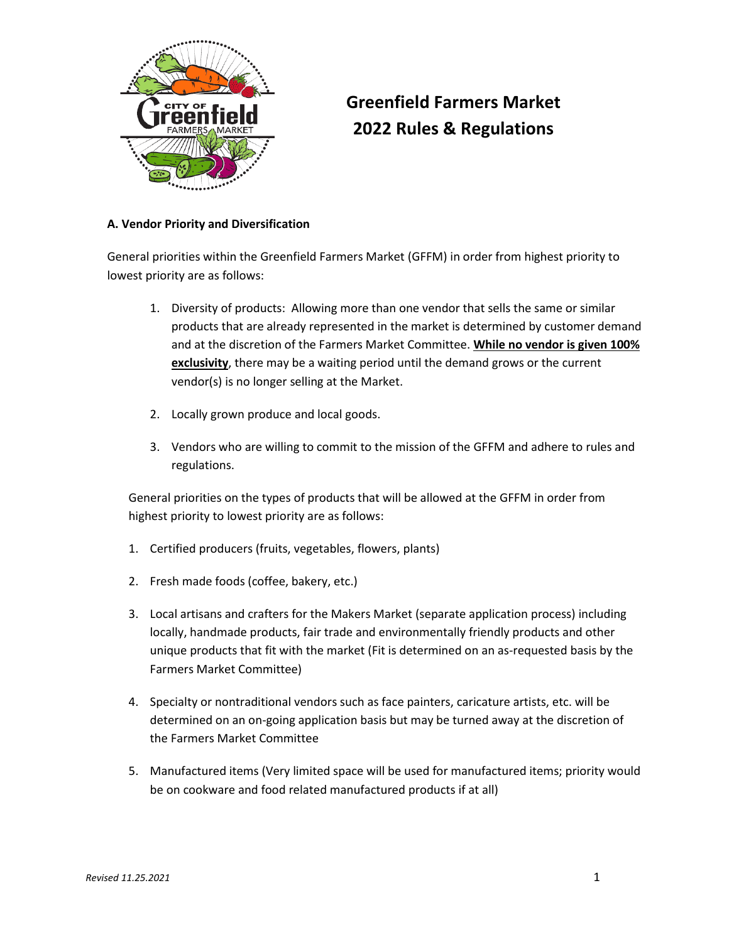

# **Greenfield Farmers Market 2022 Rules & Regulations**

### **A. Vendor Priority and Diversification**

General priorities within the Greenfield Farmers Market (GFFM) in order from highest priority to lowest priority are as follows:

- 1. Diversity of products: Allowing more than one vendor that sells the same or similar products that are already represented in the market is determined by customer demand and at the discretion of the Farmers Market Committee. **While no vendor is given 100% exclusivity**, there may be a waiting period until the demand grows or the current vendor(s) is no longer selling at the Market.
- 2. Locally grown produce and local goods.
- 3. Vendors who are willing to commit to the mission of the GFFM and adhere to rules and regulations.

General priorities on the types of products that will be allowed at the GFFM in order from highest priority to lowest priority are as follows:

- 1. Certified producers (fruits, vegetables, flowers, plants)
- 2. Fresh made foods (coffee, bakery, etc.)
- 3. Local artisans and crafters for the Makers Market (separate application process) including locally, handmade products, fair trade and environmentally friendly products and other unique products that fit with the market (Fit is determined on an as-requested basis by the Farmers Market Committee)
- 4. Specialty or nontraditional vendors such as face painters, caricature artists, etc. will be determined on an on-going application basis but may be turned away at the discretion of the Farmers Market Committee
- 5. Manufactured items (Very limited space will be used for manufactured items; priority would be on cookware and food related manufactured products if at all)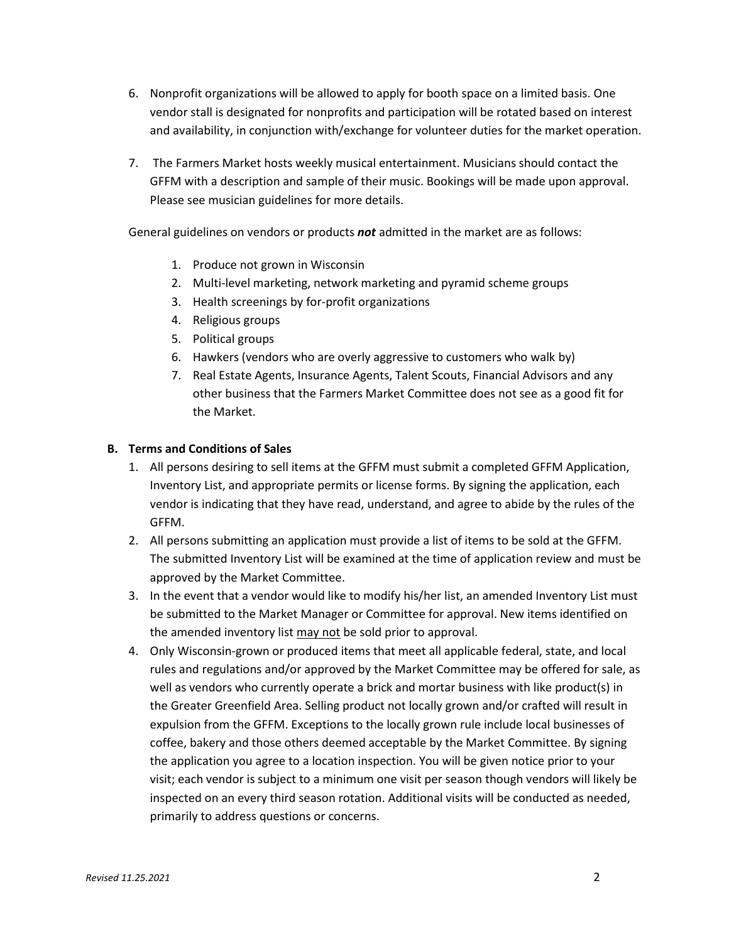- 6. Nonprofit organizations will be allowed to apply for booth space on a limited basis. One vendor stall is designated for nonprofits and participation will be rotated based on interest and availability, in conjunction with/exchange for volunteer duties for the market operation.
- 7. The Farmers Market hosts weekly musical entertainment. Musicians should contact the GFFM with a description and sample of their music. Bookings will be made upon approval. Please see musician guidelines for more details.

General guidelines on vendors or products *not* admitted in the market are as follows:

- 1. Produce not grown in Wisconsin
- 2. Multi-level marketing, network marketing and pyramid scheme groups
- 3. Health screenings by for-profit organizations
- 4. Religious groups
- 5. Political groups
- 6. Hawkers (vendors who are overly aggressive to customers who walk by)
- 7. Real Estate Agents, Insurance Agents, Talent Scouts, Financial Advisors and any other business that the Farmers Market Committee does not see as a good fit for the Market.

#### **B. Terms and Conditions of Sales**

- 1. All persons desiring to sell items at the GFFM must submit a completed GFFM Application, Inventory List, and appropriate permits or license forms. By signing the application, each vendor is indicating that they have read, understand, and agree to abide by the rules of the GFFM.
- 2. All persons submitting an application must provide a list of items to be sold at the GFFM. The submitted Inventory List will be examined at the time of application review and must be approved by the Market Committee.
- 3. In the event that a vendor would like to modify his/her list, an amended Inventory List must be submitted to the Market Manager or Committee for approval. New items identified on the amended inventory list may not be sold prior to approval.
- 4. Only Wisconsin-grown or produced items that meet all applicable federal, state, and local rules and regulations and/or approved by the Market Committee may be offered for sale, as well as vendors who currently operate a brick and mortar business with like product(s) in the Greater Greenfield Area. Selling product not locally grown and/or crafted will result in expulsion from the GFFM. Exceptions to the locally grown rule include local businesses of coffee, bakery and those others deemed acceptable by the Market Committee. By signing the application you agree to a location inspection. You will be given notice prior to your visit; each vendor is subject to a minimum one visit per season though vendors will likely be inspected on an every third season rotation. Additional visits will be conducted as needed, primarily to address questions or concerns.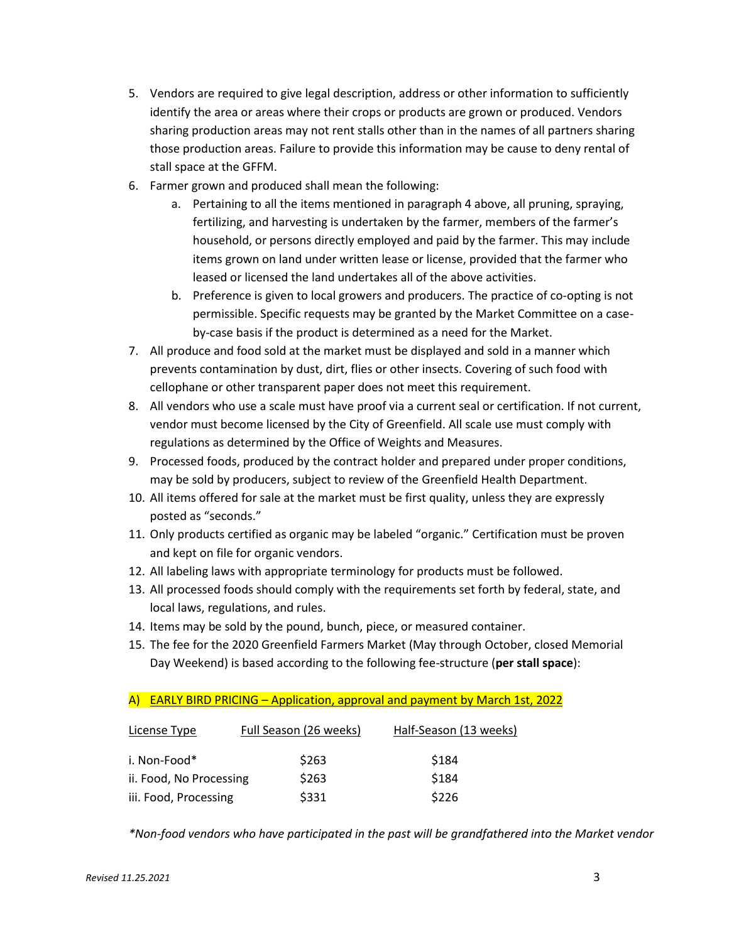- 5. Vendors are required to give legal description, address or other information to sufficiently identify the area or areas where their crops or products are grown or produced. Vendors sharing production areas may not rent stalls other than in the names of all partners sharing those production areas. Failure to provide this information may be cause to deny rental of stall space at the GFFM.
- 6. Farmer grown and produced shall mean the following:
	- a. Pertaining to all the items mentioned in paragraph 4 above, all pruning, spraying, fertilizing, and harvesting is undertaken by the farmer, members of the farmer's household, or persons directly employed and paid by the farmer. This may include items grown on land under written lease or license, provided that the farmer who leased or licensed the land undertakes all of the above activities.
	- b. Preference is given to local growers and producers. The practice of co-opting is not permissible. Specific requests may be granted by the Market Committee on a caseby-case basis if the product is determined as a need for the Market.
- 7. All produce and food sold at the market must be displayed and sold in a manner which prevents contamination by dust, dirt, flies or other insects. Covering of such food with cellophane or other transparent paper does not meet this requirement.
- 8. All vendors who use a scale must have proof via a current seal or certification. If not current, vendor must become licensed by the City of Greenfield. All scale use must comply with regulations as determined by the Office of Weights and Measures.
- 9. Processed foods, produced by the contract holder and prepared under proper conditions, may be sold by producers, subject to review of the Greenfield Health Department.
- 10. All items offered for sale at the market must be first quality, unless they are expressly posted as "seconds."
- 11. Only products certified as organic may be labeled "organic." Certification must be proven and kept on file for organic vendors.
- 12. All labeling laws with appropriate terminology for products must be followed.
- 13. All processed foods should comply with the requirements set forth by federal, state, and local laws, regulations, and rules.
- 14. Items may be sold by the pound, bunch, piece, or measured container.
- 15. The fee for the 2020 Greenfield Farmers Market (May through October, closed Memorial Day Weekend) is based according to the following fee-structure (**per stall space**):

# A) EARLY BIRD PRICING – Application, approval and payment by March 1st, 2022

| License Type            | Full Season (26 weeks) | Half-Season (13 weeks) |
|-------------------------|------------------------|------------------------|
| i. Non-Food*            | \$263                  | \$184                  |
| ii. Food, No Processing | \$263                  | \$184                  |
| iii. Food, Processing   | \$331                  | \$226                  |

*\*Non-food vendors who have participated in the past will be grandfathered into the Market vendor*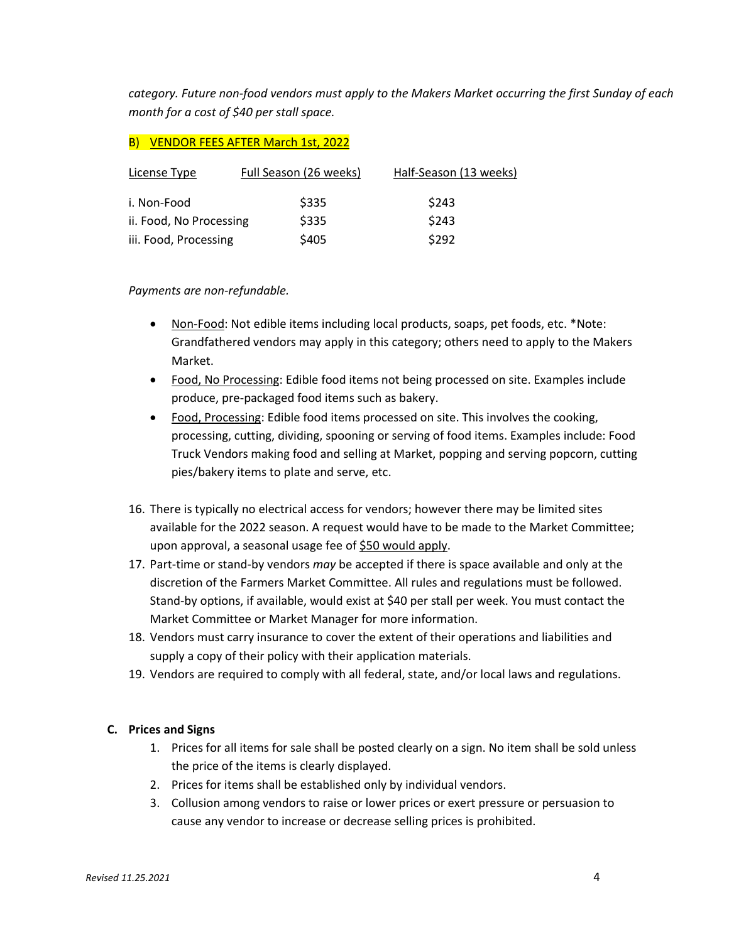*category. Future non-food vendors must apply to the Makers Market occurring the first Sunday of each month for a cost of \$40 per stall space.*

# B) VENDOR FEES AFTER March 1st, 2022

| License Type            | Full Season (26 weeks) | Half-Season (13 weeks) |
|-------------------------|------------------------|------------------------|
| i. Non-Food             | \$335                  | \$243                  |
| ii. Food, No Processing | \$335                  | \$243                  |
| iii. Food, Processing   | \$405                  | \$292                  |

#### *Payments are non-refundable.*

- Non-Food: Not edible items including local products, soaps, pet foods, etc. \*Note: Grandfathered vendors may apply in this category; others need to apply to the Makers Market.
- Food, No Processing: Edible food items not being processed on site. Examples include produce, pre-packaged food items such as bakery.
- Food, Processing: Edible food items processed on site. This involves the cooking, processing, cutting, dividing, spooning or serving of food items. Examples include: Food Truck Vendors making food and selling at Market, popping and serving popcorn, cutting pies/bakery items to plate and serve, etc.
- 16. There is typically no electrical access for vendors; however there may be limited sites available for the 2022 season. A request would have to be made to the Market Committee; upon approval, a seasonal usage fee of \$50 would apply.
- 17. Part-time or stand-by vendors *may* be accepted if there is space available and only at the discretion of the Farmers Market Committee. All rules and regulations must be followed. Stand-by options, if available, would exist at \$40 per stall per week. You must contact the Market Committee or Market Manager for more information.
- 18. Vendors must carry insurance to cover the extent of their operations and liabilities and supply a copy of their policy with their application materials.
- 19. Vendors are required to comply with all federal, state, and/or local laws and regulations.

#### **C. Prices and Signs**

- 1. Prices for all items for sale shall be posted clearly on a sign. No item shall be sold unless the price of the items is clearly displayed.
- 2. Prices for items shall be established only by individual vendors.
- 3. Collusion among vendors to raise or lower prices or exert pressure or persuasion to cause any vendor to increase or decrease selling prices is prohibited.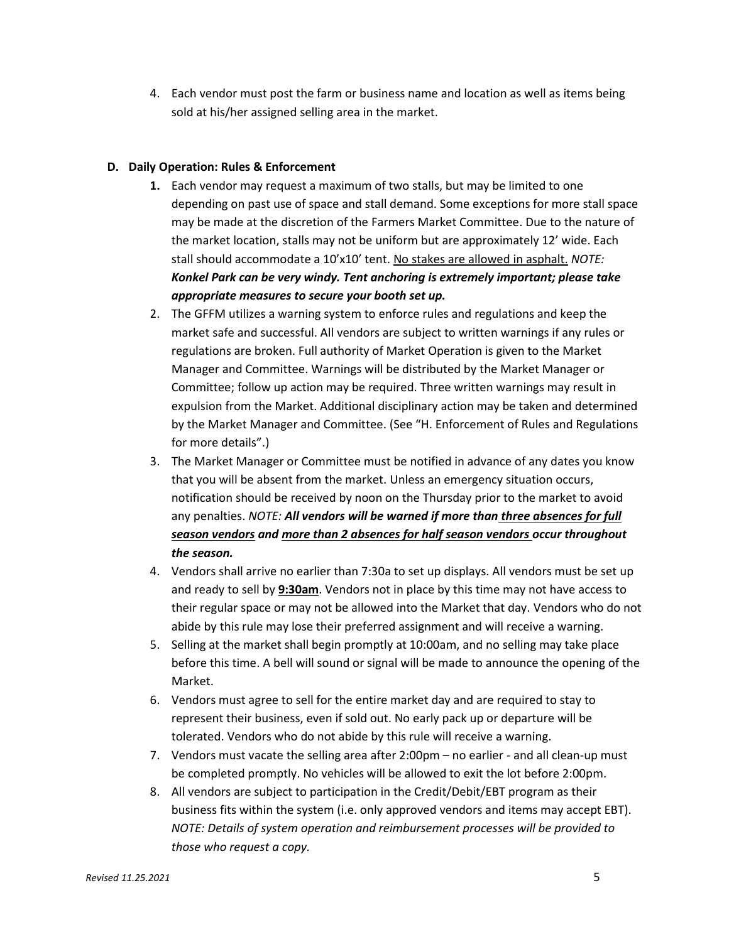4. Each vendor must post the farm or business name and location as well as items being sold at his/her assigned selling area in the market.

# **D. Daily Operation: Rules & Enforcement**

- **1.** Each vendor may request a maximum of two stalls, but may be limited to one depending on past use of space and stall demand. Some exceptions for more stall space may be made at the discretion of the Farmers Market Committee. Due to the nature of the market location, stalls may not be uniform but are approximately 12' wide. Each stall should accommodate a 10'x10' tent. No stakes are allowed in asphalt. *NOTE: Konkel Park can be very windy. Tent anchoring is extremely important; please take appropriate measures to secure your booth set up.*
- 2. The GFFM utilizes a warning system to enforce rules and regulations and keep the market safe and successful. All vendors are subject to written warnings if any rules or regulations are broken. Full authority of Market Operation is given to the Market Manager and Committee. Warnings will be distributed by the Market Manager or Committee; follow up action may be required. Three written warnings may result in expulsion from the Market. Additional disciplinary action may be taken and determined by the Market Manager and Committee. (See "H. Enforcement of Rules and Regulations for more details".)
- 3. The Market Manager or Committee must be notified in advance of any dates you know that you will be absent from the market. Unless an emergency situation occurs, notification should be received by noon on the Thursday prior to the market to avoid any penalties. *NOTE: All vendors will be warned if more than three absences for full season vendors and more than 2 absences for half season vendors occur throughout the season.*
- 4. Vendors shall arrive no earlier than 7:30a to set up displays. All vendors must be set up and ready to sell by **9:30am**. Vendors not in place by this time may not have access to their regular space or may not be allowed into the Market that day. Vendors who do not abide by this rule may lose their preferred assignment and will receive a warning.
- 5. Selling at the market shall begin promptly at 10:00am, and no selling may take place before this time. A bell will sound or signal will be made to announce the opening of the Market.
- 6. Vendors must agree to sell for the entire market day and are required to stay to represent their business, even if sold out. No early pack up or departure will be tolerated. Vendors who do not abide by this rule will receive a warning.
- 7. Vendors must vacate the selling area after 2:00pm no earlier and all clean-up must be completed promptly. No vehicles will be allowed to exit the lot before 2:00pm.
- 8. All vendors are subject to participation in the Credit/Debit/EBT program as their business fits within the system (i.e. only approved vendors and items may accept EBT). *NOTE: Details of system operation and reimbursement processes will be provided to those who request a copy.*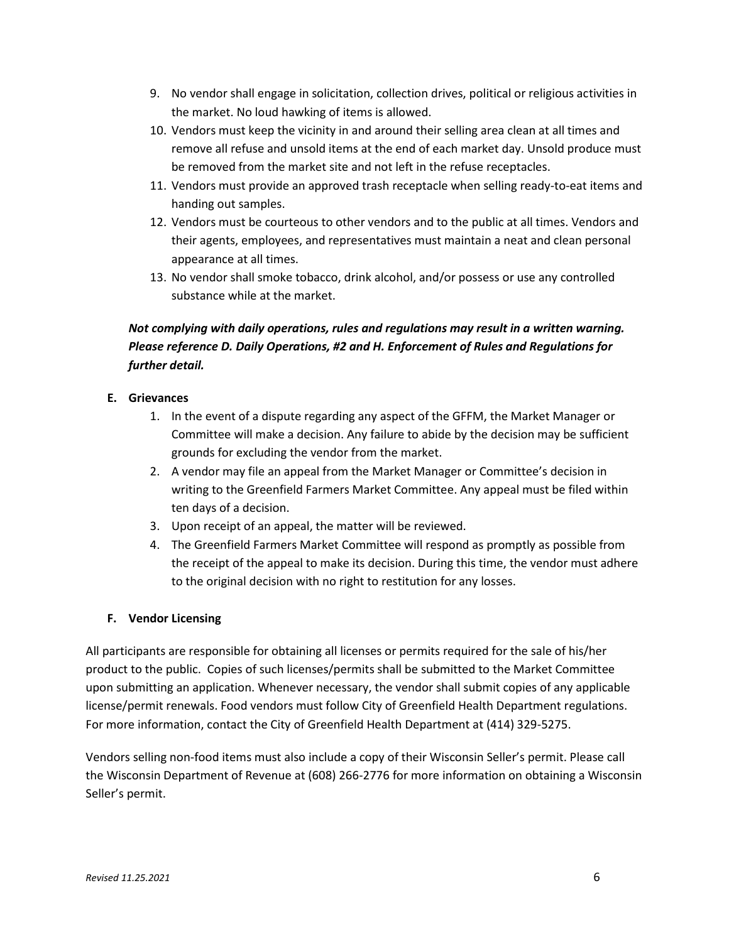- 9. No vendor shall engage in solicitation, collection drives, political or religious activities in the market. No loud hawking of items is allowed.
- 10. Vendors must keep the vicinity in and around their selling area clean at all times and remove all refuse and unsold items at the end of each market day. Unsold produce must be removed from the market site and not left in the refuse receptacles.
- 11. Vendors must provide an approved trash receptacle when selling ready-to-eat items and handing out samples.
- 12. Vendors must be courteous to other vendors and to the public at all times. Vendors and their agents, employees, and representatives must maintain a neat and clean personal appearance at all times.
- 13. No vendor shall smoke tobacco, drink alcohol, and/or possess or use any controlled substance while at the market.

# *Not complying with daily operations, rules and regulations may result in a written warning. Please reference D. Daily Operations, #2 and H. Enforcement of Rules and Regulations for further detail.*

# **E. Grievances**

- 1. In the event of a dispute regarding any aspect of the GFFM, the Market Manager or Committee will make a decision. Any failure to abide by the decision may be sufficient grounds for excluding the vendor from the market.
- 2. A vendor may file an appeal from the Market Manager or Committee's decision in writing to the Greenfield Farmers Market Committee. Any appeal must be filed within ten days of a decision.
- 3. Upon receipt of an appeal, the matter will be reviewed.
- 4. The Greenfield Farmers Market Committee will respond as promptly as possible from the receipt of the appeal to make its decision. During this time, the vendor must adhere to the original decision with no right to restitution for any losses.

# **F. Vendor Licensing**

All participants are responsible for obtaining all licenses or permits required for the sale of his/her product to the public. Copies of such licenses/permits shall be submitted to the Market Committee upon submitting an application. Whenever necessary, the vendor shall submit copies of any applicable license/permit renewals. Food vendors must follow City of Greenfield Health Department regulations. For more information, contact the City of Greenfield Health Department at (414) 329-5275.

Vendors selling non-food items must also include a copy of their Wisconsin Seller's permit. Please call the Wisconsin Department of Revenue at (608) 266-2776 for more information on obtaining a Wisconsin Seller's permit.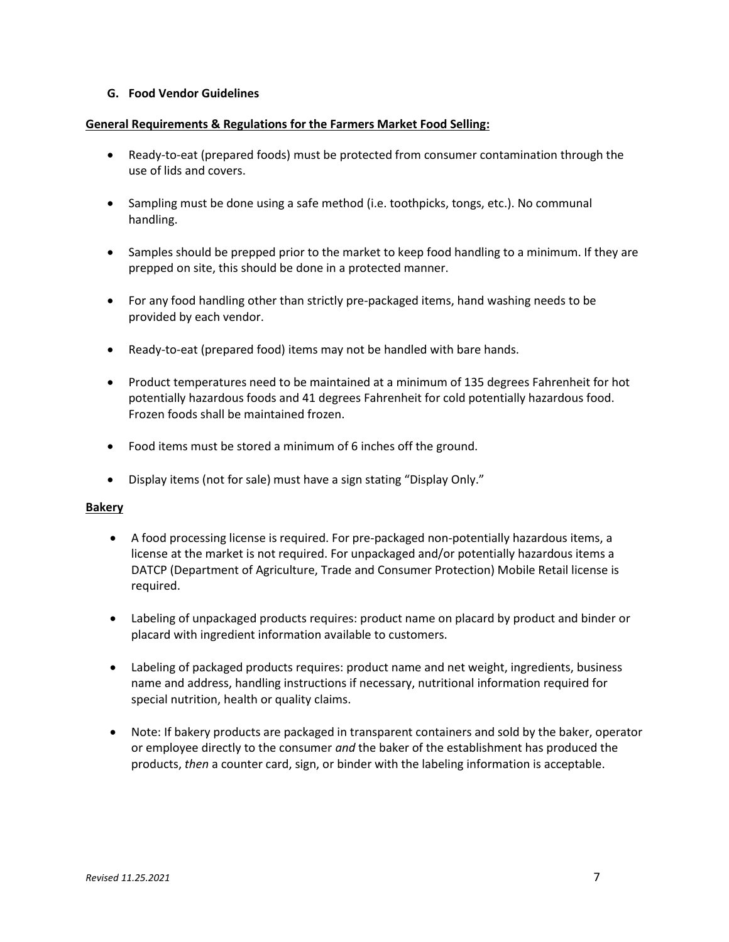#### **G. Food Vendor Guidelines**

#### **General Requirements & Regulations for the Farmers Market Food Selling:**

- Ready-to-eat (prepared foods) must be protected from consumer contamination through the use of lids and covers.
- Sampling must be done using a safe method (i.e. toothpicks, tongs, etc.). No communal handling.
- Samples should be prepped prior to the market to keep food handling to a minimum. If they are prepped on site, this should be done in a protected manner.
- For any food handling other than strictly pre-packaged items, hand washing needs to be provided by each vendor.
- Ready-to-eat (prepared food) items may not be handled with bare hands.
- Product temperatures need to be maintained at a minimum of 135 degrees Fahrenheit for hot potentially hazardous foods and 41 degrees Fahrenheit for cold potentially hazardous food. Frozen foods shall be maintained frozen.
- Food items must be stored a minimum of 6 inches off the ground.
- Display items (not for sale) must have a sign stating "Display Only."

#### **Bakery**

- A food processing license is required. For pre-packaged non-potentially hazardous items, a license at the market is not required. For unpackaged and/or potentially hazardous items a DATCP (Department of Agriculture, Trade and Consumer Protection) Mobile Retail license is required.
- Labeling of unpackaged products requires: product name on placard by product and binder or placard with ingredient information available to customers.
- Labeling of packaged products requires: product name and net weight, ingredients, business name and address, handling instructions if necessary, nutritional information required for special nutrition, health or quality claims.
- Note: If bakery products are packaged in transparent containers and sold by the baker, operator or employee directly to the consumer *and* the baker of the establishment has produced the products, *then* a counter card, sign, or binder with the labeling information is acceptable.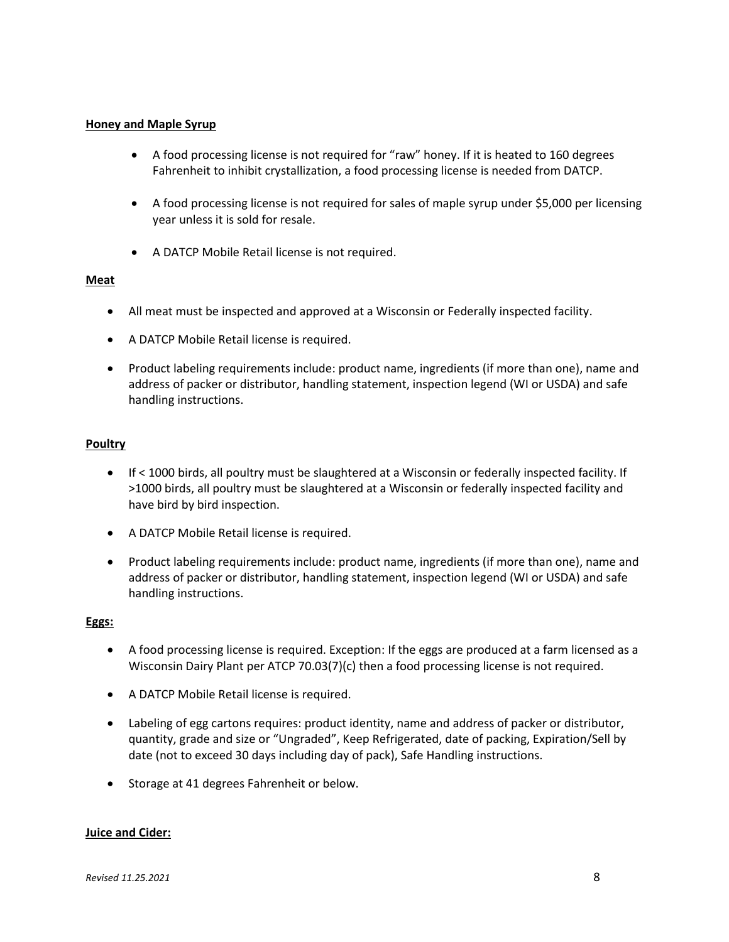#### **Honey and Maple Syrup**

- A food processing license is not required for "raw" honey. If it is heated to 160 degrees Fahrenheit to inhibit crystallization, a food processing license is needed from DATCP.
- A food processing license is not required for sales of maple syrup under \$5,000 per licensing year unless it is sold for resale.
- A DATCP Mobile Retail license is not required.

#### **Meat**

- All meat must be inspected and approved at a Wisconsin or Federally inspected facility.
- A DATCP Mobile Retail license is required.
- Product labeling requirements include: product name, ingredients (if more than one), name and address of packer or distributor, handling statement, inspection legend (WI or USDA) and safe handling instructions.

#### **Poultry**

- If < 1000 birds, all poultry must be slaughtered at a Wisconsin or federally inspected facility. If >1000 birds, all poultry must be slaughtered at a Wisconsin or federally inspected facility and have bird by bird inspection.
- A DATCP Mobile Retail license is required.
- Product labeling requirements include: product name, ingredients (if more than one), name and address of packer or distributor, handling statement, inspection legend (WI or USDA) and safe handling instructions.

#### **Eggs:**

- A food processing license is required. Exception: If the eggs are produced at a farm licensed as a Wisconsin Dairy Plant per ATCP 70.03(7)(c) then a food processing license is not required.
- A DATCP Mobile Retail license is required.
- Labeling of egg cartons requires: product identity, name and address of packer or distributor, quantity, grade and size or "Ungraded", Keep Refrigerated, date of packing, Expiration/Sell by date (not to exceed 30 days including day of pack), Safe Handling instructions.
- Storage at 41 degrees Fahrenheit or below.

#### **Juice and Cider:**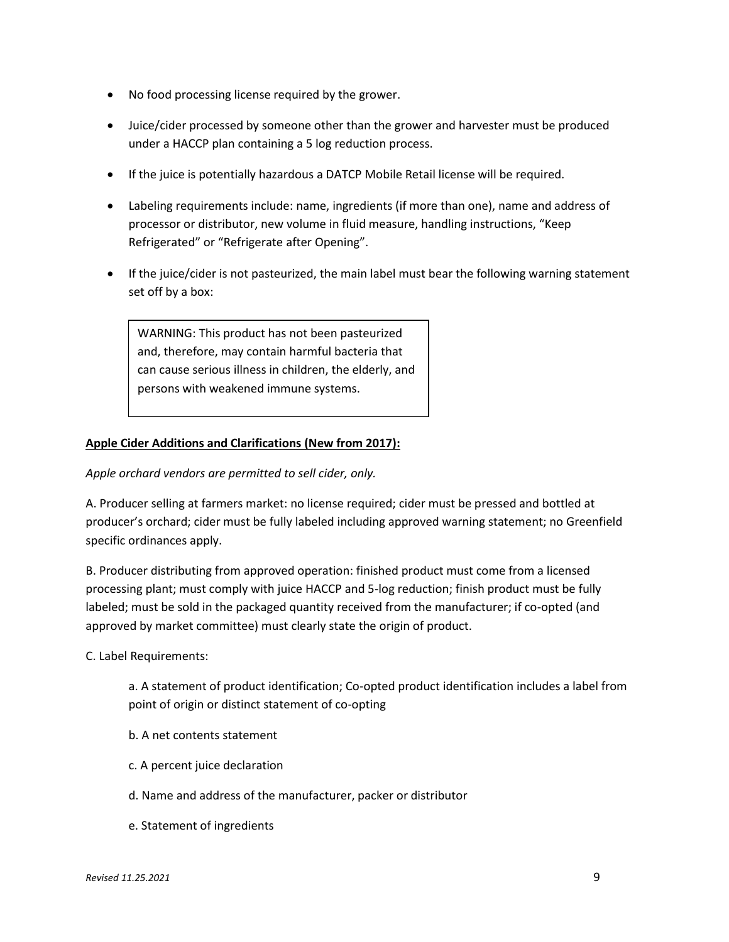- No food processing license required by the grower.
- Juice/cider processed by someone other than the grower and harvester must be produced under a HACCP plan containing a 5 log reduction process.
- If the juice is potentially hazardous a DATCP Mobile Retail license will be required.
- Labeling requirements include: name, ingredients (if more than one), name and address of processor or distributor, new volume in fluid measure, handling instructions, "Keep Refrigerated" or "Refrigerate after Opening".
- If the juice/cider is not pasteurized, the main label must bear the following warning statement set off by a box:

WARNING: This product has not been pasteurized and, therefore, may contain harmful bacteria that can cause serious illness in children, the elderly, and persons with weakened immune systems.

#### **Apple Cider Additions and Clarifications (New from 2017):**

*Apple orchard vendors are permitted to sell cider, only.*

A. Producer selling at farmers market: no license required; cider must be pressed and bottled at producer's orchard; cider must be fully labeled including approved warning statement; no Greenfield specific ordinances apply.

B. Producer distributing from approved operation: finished product must come from a licensed processing plant; must comply with juice HACCP and 5-log reduction; finish product must be fully labeled; must be sold in the packaged quantity received from the manufacturer; if co-opted (and approved by market committee) must clearly state the origin of product.

C. Label Requirements:

a. A statement of product identification; Co-opted product identification includes a label from point of origin or distinct statement of co-opting

- b. A net contents statement
- c. A percent juice declaration
- d. Name and address of the manufacturer, packer or distributor
- e. Statement of ingredients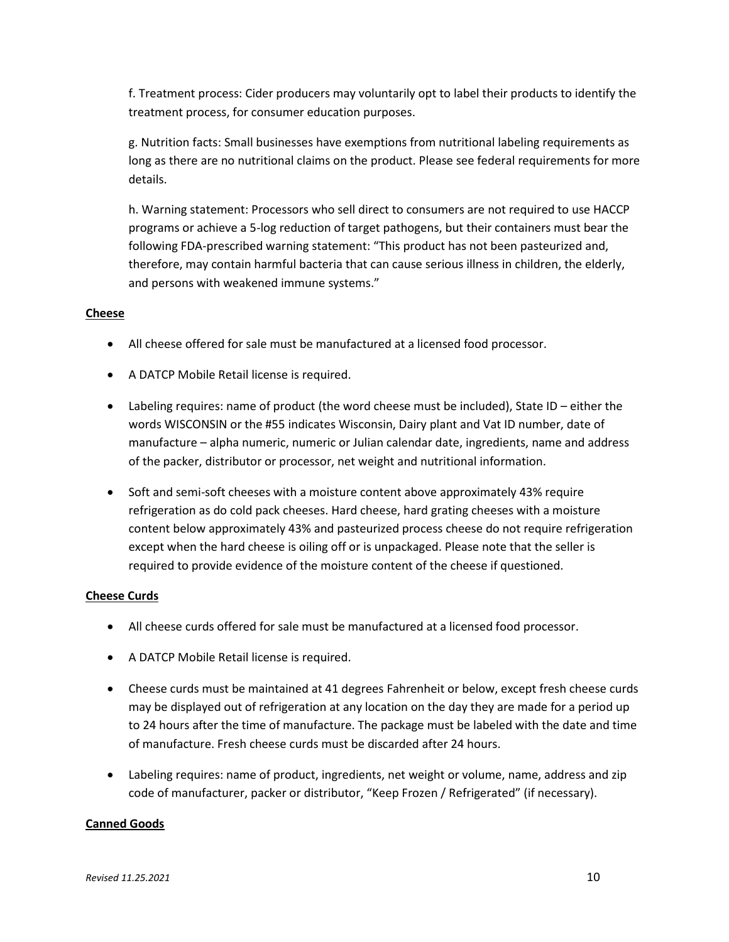f. Treatment process: Cider producers may voluntarily opt to label their products to identify the treatment process, for consumer education purposes.

g. Nutrition facts: Small businesses have exemptions from nutritional labeling requirements as long as there are no nutritional claims on the product. Please see federal requirements for more details.

h. Warning statement: Processors who sell direct to consumers are not required to use HACCP programs or achieve a 5-log reduction of target pathogens, but their containers must bear the following FDA-prescribed warning statement: "This product has not been pasteurized and, therefore, may contain harmful bacteria that can cause serious illness in children, the elderly, and persons with weakened immune systems."

#### **Cheese**

- All cheese offered for sale must be manufactured at a licensed food processor.
- A DATCP Mobile Retail license is required.
- Labeling requires: name of product (the word cheese must be included), State ID either the words WISCONSIN or the #55 indicates Wisconsin, Dairy plant and Vat ID number, date of manufacture – alpha numeric, numeric or Julian calendar date, ingredients, name and address of the packer, distributor or processor, net weight and nutritional information.
- Soft and semi-soft cheeses with a moisture content above approximately 43% require refrigeration as do cold pack cheeses. Hard cheese, hard grating cheeses with a moisture content below approximately 43% and pasteurized process cheese do not require refrigeration except when the hard cheese is oiling off or is unpackaged. Please note that the seller is required to provide evidence of the moisture content of the cheese if questioned.

#### **Cheese Curds**

- All cheese curds offered for sale must be manufactured at a licensed food processor.
- A DATCP Mobile Retail license is required.
- Cheese curds must be maintained at 41 degrees Fahrenheit or below, except fresh cheese curds may be displayed out of refrigeration at any location on the day they are made for a period up to 24 hours after the time of manufacture. The package must be labeled with the date and time of manufacture. Fresh cheese curds must be discarded after 24 hours.
- Labeling requires: name of product, ingredients, net weight or volume, name, address and zip code of manufacturer, packer or distributor, "Keep Frozen / Refrigerated" (if necessary).

#### **Canned Goods**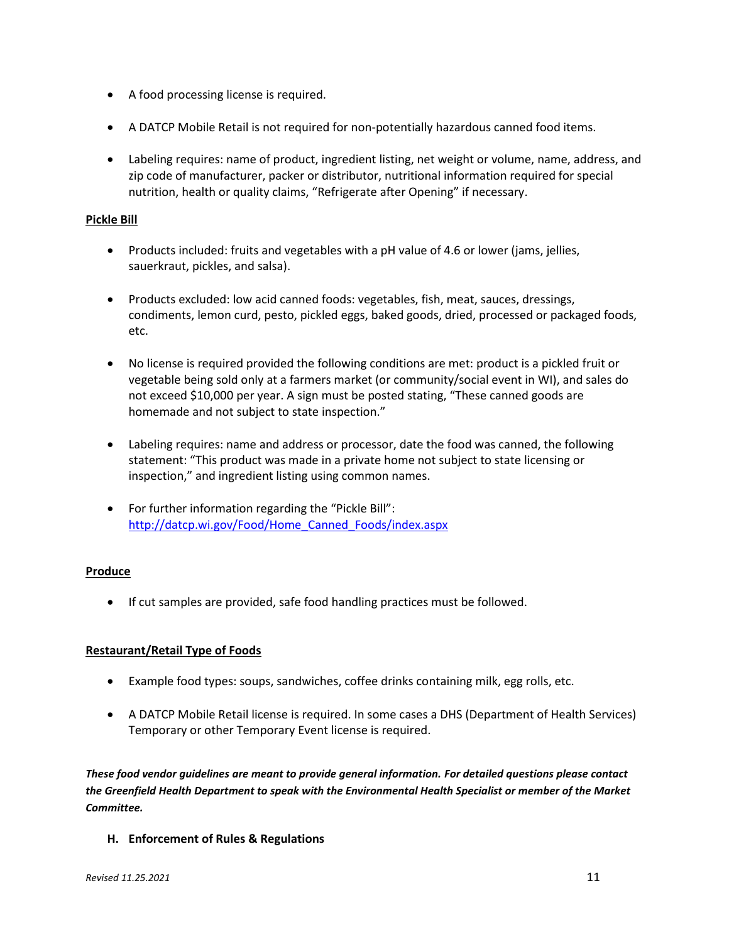- A food processing license is required.
- A DATCP Mobile Retail is not required for non-potentially hazardous canned food items.
- Labeling requires: name of product, ingredient listing, net weight or volume, name, address, and zip code of manufacturer, packer or distributor, nutritional information required for special nutrition, health or quality claims, "Refrigerate after Opening" if necessary.

#### **Pickle Bill**

- Products included: fruits and vegetables with a pH value of 4.6 or lower (jams, jellies, sauerkraut, pickles, and salsa).
- Products excluded: low acid canned foods: vegetables, fish, meat, sauces, dressings, condiments, lemon curd, pesto, pickled eggs, baked goods, dried, processed or packaged foods, etc.
- No license is required provided the following conditions are met: product is a pickled fruit or vegetable being sold only at a farmers market (or community/social event in WI), and sales do not exceed \$10,000 per year. A sign must be posted stating, "These canned goods are homemade and not subject to state inspection."
- Labeling requires: name and address or processor, date the food was canned, the following statement: "This product was made in a private home not subject to state licensing or inspection," and ingredient listing using common names.
- For further information regarding the "Pickle Bill": [http://datcp.wi.gov/Food/Home\\_Canned\\_Foods/index.aspx](http://datcp.wi.gov/Food/Home_Canned_Foods/index.aspx)

#### **Produce**

If cut samples are provided, safe food handling practices must be followed.

#### **Restaurant/Retail Type of Foods**

- Example food types: soups, sandwiches, coffee drinks containing milk, egg rolls, etc.
- A DATCP Mobile Retail license is required. In some cases a DHS (Department of Health Services) Temporary or other Temporary Event license is required.

*These food vendor guidelines are meant to provide general information. For detailed questions please contact the Greenfield Health Department to speak with the Environmental Health Specialist or member of the Market Committee.*

**H. Enforcement of Rules & Regulations**